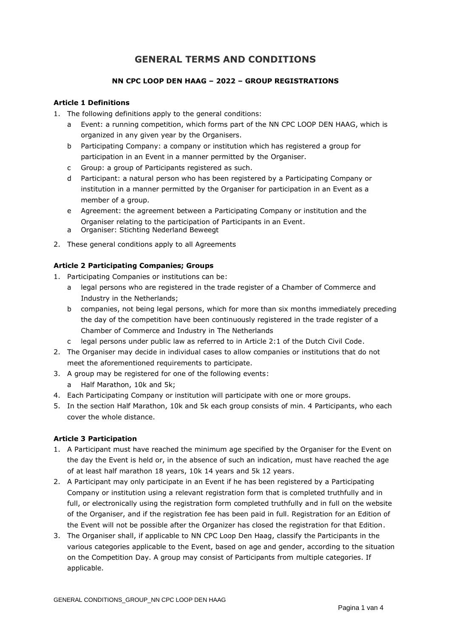# **GENERAL TERMS AND CONDITIONS**

## **NN CPC LOOP DEN HAAG – 2022 – GROUP REGISTRATIONS**

## **Article 1 Definitions**

- 1. The following definitions apply to the general conditions:
	- a Event: a running competition, which forms part of the NN CPC LOOP DEN HAAG, which is organized in any given year by the Organisers.
	- b Participating Company: a company or institution which has registered a group for participation in an Event in a manner permitted by the Organiser.
	- c Group: a group of Participants registered as such.
	- d Participant: a natural person who has been registered by a Participating Company or institution in a manner permitted by the Organiser for participation in an Event as a member of a group.
	- e Agreement: the agreement between a Participating Company or institution and the Organiser relating to the participation of Participants in an Event.
	- a Organiser: Stichting Nederland Beweegt
- 2. These general conditions apply to all Agreements

## **Article 2 Participating Companies; Groups**

- 1. Participating Companies or institutions can be:
	- a legal persons who are registered in the trade register of a Chamber of Commerce and Industry in the Netherlands;
	- b companies, not being legal persons, which for more than six months immediately preceding the day of the competition have been continuously registered in the trade register of a Chamber of Commerce and Industry in The Netherlands
	- c legal persons under public law as referred to in Article 2:1 of the Dutch Civil Code.
- 2. The Organiser may decide in individual cases to allow companies or institutions that do not meet the aforementioned requirements to participate.
- 3. A group may be registered for one of the following events:
	- a Half Marathon, 10k and 5k;
- 4. Each Participating Company or institution will participate with one or more groups.
- 5. In the section Half Marathon, 10k and 5k each group consists of min. 4 Participants, who each cover the whole distance.

## **Article 3 Participation**

- 1. A Participant must have reached the minimum age specified by the Organiser for the Event on the day the Event is held or, in the absence of such an indication, must have reached the age of at least half marathon 18 years, 10k 14 years and 5k 12 years.
- 2. A Participant may only participate in an Event if he has been registered by a Participating Company or institution using a relevant registration form that is completed truthfully and in full, or electronically using the registration form completed truthfully and in full on the website of the Organiser, and if the registration fee has been paid in full. Registration for an Edition of the Event will not be possible after the Organizer has closed the registration for that Edition.
- 3. The Organiser shall, if applicable to NN CPC Loop Den Haag, classify the Participants in the various categories applicable to the Event, based on age and gender, according to the situation on the Competition Day. A group may consist of Participants from multiple categories. If applicable.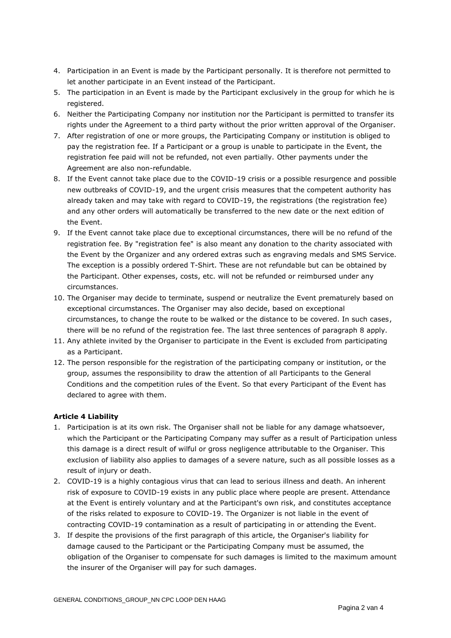- 4. Participation in an Event is made by the Participant personally. It is therefore not permitted to let another participate in an Event instead of the Participant.
- 5. The participation in an Event is made by the Participant exclusively in the group for which he is registered.
- 6. Neither the Participating Company nor institution nor the Participant is permitted to transfer its rights under the Agreement to a third party without the prior written approval of the Organiser.
- 7. After registration of one or more groups, the Participating Company or institution is obliged to pay the registration fee. If a Participant or a group is unable to participate in the Event, the registration fee paid will not be refunded, not even partially. Other payments under the Agreement are also non-refundable.
- 8. If the Event cannot take place due to the COVID-19 crisis or a possible resurgence and possible new outbreaks of COVID-19, and the urgent crisis measures that the competent authority has already taken and may take with regard to COVID-19, the registrations (the registration fee) and any other orders will automatically be transferred to the new date or the next edition of the Event.
- 9. If the Event cannot take place due to exceptional circumstances, there will be no refund of the registration fee. By "registration fee" is also meant any donation to the charity associated with the Event by the Organizer and any ordered extras such as engraving medals and SMS Service. The exception is a possibly ordered T-Shirt. These are not refundable but can be obtained by the Participant. Other expenses, costs, etc. will not be refunded or reimbursed under any circumstances.
- 10. The Organiser may decide to terminate, suspend or neutralize the Event prematurely based on exceptional circumstances. The Organiser may also decide, based on exceptional circumstances, to change the route to be walked or the distance to be covered. In such cases, there will be no refund of the registration fee. The last three sentences of paragraph 8 apply.
- 11. Any athlete invited by the Organiser to participate in the Event is excluded from participating as a Participant.
- 12. The person responsible for the registration of the participating company or institution, or the group, assumes the responsibility to draw the attention of all Participants to the General Conditions and the competition rules of the Event. So that every Participant of the Event has declared to agree with them.

## **Article 4 Liability**

- 1. Participation is at its own risk. The Organiser shall not be liable for any damage whatsoever, which the Participant or the Participating Company may suffer as a result of Participation unless this damage is a direct result of wilful or gross negligence attributable to the Organiser. This exclusion of liability also applies to damages of a severe nature, such as all possible losses as a result of injury or death.
- 2. COVID-19 is a highly contagious virus that can lead to serious illness and death. An inherent risk of exposure to COVID-19 exists in any public place where people are present. Attendance at the Event is entirely voluntary and at the Participant's own risk, and constitutes acceptance of the risks related to exposure to COVID-19. The Organizer is not liable in the event of contracting COVID-19 contamination as a result of participating in or attending the Event.
- 3. If despite the provisions of the first paragraph of this article, the Organiser's liability for damage caused to the Participant or the Participating Company must be assumed, the obligation of the Organiser to compensate for such damages is limited to the maximum amount the insurer of the Organiser will pay for such damages.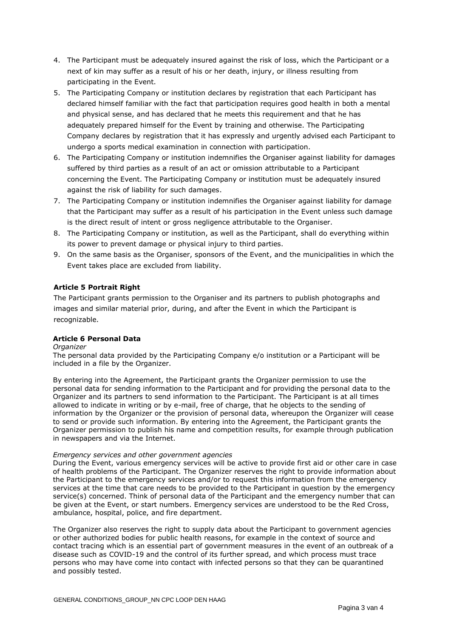- 4. The Participant must be adequately insured against the risk of loss, which the Participant or a next of kin may suffer as a result of his or her death, injury, or illness resulting from participating in the Event.
- 5. The Participating Company or institution declares by registration that each Participant has declared himself familiar with the fact that participation requires good health in both a mental and physical sense, and has declared that he meets this requirement and that he has adequately prepared himself for the Event by training and otherwise. The Participating Company declares by registration that it has expressly and urgently advised each Participant to undergo a sports medical examination in connection with participation.
- 6. The Participating Company or institution indemnifies the Organiser against liability for damages suffered by third parties as a result of an act or omission attributable to a Participant concerning the Event. The Participating Company or institution must be adequately insured against the risk of liability for such damages.
- 7. The Participating Company or institution indemnifies the Organiser against liability for damage that the Participant may suffer as a result of his participation in the Event unless such damage is the direct result of intent or gross negligence attributable to the Organiser.
- 8. The Participating Company or institution, as well as the Participant, shall do everything within its power to prevent damage or physical injury to third parties.
- 9. On the same basis as the Organiser, sponsors of the Event, and the municipalities in which the Event takes place are excluded from liability.

## **Article 5 Portrait Right**

The Participant grants permission to the Organiser and its partners to publish photographs and images and similar material prior, during, and after the Event in which the Participant is recognizable.

## **Article 6 Personal Data**

#### *Organizer*

The personal data provided by the Participating Company e/o institution or a Participant will be included in a file by the Organizer.

By entering into the Agreement, the Participant grants the Organizer permission to use the personal data for sending information to the Participant and for providing the personal data to the Organizer and its partners to send information to the Participant. The Participant is at all times allowed to indicate in writing or by e-mail, free of charge, that he objects to the sending of information by the Organizer or the provision of personal data, whereupon the Organizer will cease to send or provide such information. By entering into the Agreement, the Participant grants the Organizer permission to publish his name and competition results, for example through publication in newspapers and via the Internet.

#### *Emergency services and other government agencies*

During the Event, various emergency services will be active to provide first aid or other care in case of health problems of the Participant. The Organizer reserves the right to provide information about the Participant to the emergency services and/or to request this information from the emergency services at the time that care needs to be provided to the Participant in question by the emergency service(s) concerned. Think of personal data of the Participant and the emergency number that can be given at the Event, or start numbers. Emergency services are understood to be the Red Cross, ambulance, hospital, police, and fire department.

The Organizer also reserves the right to supply data about the Participant to government agencies or other authorized bodies for public health reasons, for example in the context of source and contact tracing which is an essential part of government measures in the event of an outbreak of a disease such as COVID-19 and the control of its further spread, and which process must trace persons who may have come into contact with infected persons so that they can be quarantined and possibly tested.